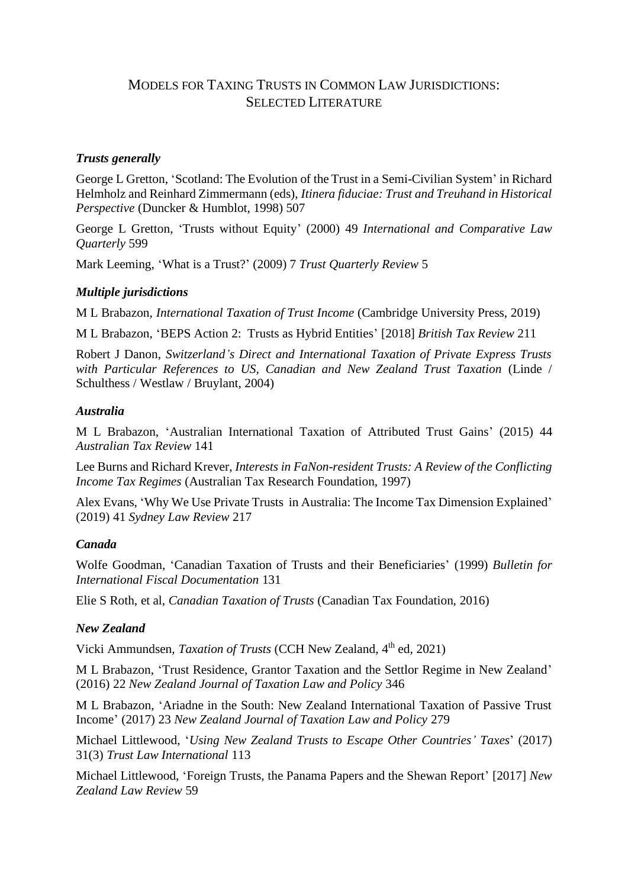# MODELS FOR TAXING TRUSTS IN COMMON LAW JURISDICTIONS: SELECTED LITERATURE

## *Trusts generally*

George L Gretton, 'Scotland: The Evolution of the Trust in a Semi-Civilian System' in Richard Helmholz and Reinhard Zimmermann (eds), *Itinera fiduciae: Trust and Treuhand in Historical Perspective* (Duncker & Humblot, 1998) 507

George L Gretton, 'Trusts without Equity' (2000) 49 *International and Comparative Law Quarterly* 599

Mark Leeming, 'What is a Trust?' (2009) 7 *Trust Quarterly Review* 5

## *Multiple jurisdictions*

M L Brabazon, *International Taxation of Trust Income* (Cambridge University Press, 2019)

M L Brabazon, 'BEPS Action 2: Trusts as Hybrid Entities' [2018] *British Tax Review* 211

Robert J Danon, *Switzerland's Direct and International Taxation of Private Express Trusts with Particular References to US, Canadian and New Zealand Trust Taxation* (Linde / Schulthess / Westlaw / Bruylant, 2004)

#### *Australia*

M L Brabazon, 'Australian International Taxation of Attributed Trust Gains' (2015) 44 *Australian Tax Review* 141

Lee Burns and Richard Krever, *Interests in FaNon-resident Trusts: A Review of the Conflicting Income Tax Regimes* (Australian Tax Research Foundation, 1997)

Alex Evans, 'Why We Use Private Trusts in Australia: The Income Tax Dimension Explained' (2019) 41 *Sydney Law Review* 217

#### *Canada*

Wolfe Goodman, 'Canadian Taxation of Trusts and their Beneficiaries' (1999) *Bulletin for International Fiscal Documentation* 131

Elie S Roth, et al, *Canadian Taxation of Trusts* (Canadian Tax Foundation, 2016)

#### *New Zealand*

Vicki Ammundsen, *Taxation of Trusts* (CCH New Zealand, 4<sup>th</sup> ed, 2021)

M L Brabazon, 'Trust Residence, Grantor Taxation and the Settlor Regime in New Zealand' (2016) 22 *New Zealand Journal of Taxation Law and Policy* 346

M L Brabazon, 'Ariadne in the South: New Zealand International Taxation of Passive Trust Income' (2017) 23 *New Zealand Journal of Taxation Law and Policy* 279

Michael Littlewood, '*Using New Zealand Trusts to Escape Other Countries' Taxes*' (2017) 31(3) *Trust Law International* 113

Michael Littlewood, 'Foreign Trusts, the Panama Papers and the Shewan Report' [2017] *New Zealand Law Review* 59